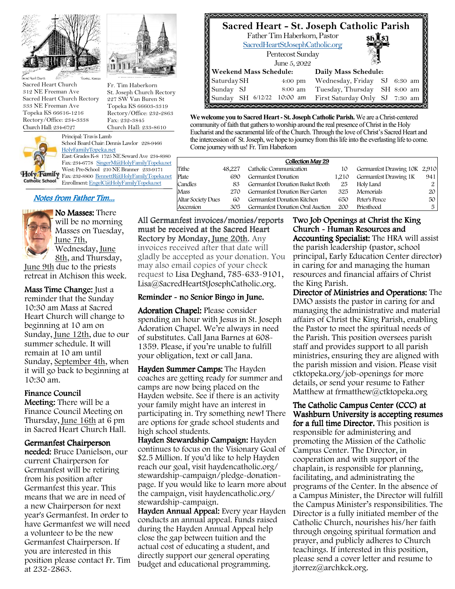

Sacred Heart Church 312 NE Freeman Ave Sacred Heart Church Rectory 333 NE Freeman Ave Topeka KS 66616-1216 Rectory/Office: 234-3338 Church Hall: 234-6727

Fr. Tim Haberkorn

St. Joseph Church Rectory 227 SW Van Buren St Topeka KS 66603-3319 Rectory/Office: 232-2863 Fax: 232-3845 Church Hall: 233-8610



Principal: Travis Lamb School Board Chair: Dennis Lawlor 228-9466 HolyFamilyTopeka.net East: Grades K-8 1725 NE Seward Ave 234-8980 Fax: 234-6778 SingerM@HolyFamilyTopeka.net

West: Pre-School 210 NE Branner 233-9171 Holy Family Fax: 232-8800 BennettR@HolyFamilyTopeka.net Catholic School Enrollment: EngelC@HolyFamilyTopeka.net

# Notes from Father Tim...



No Masses: There will be no morning Masses on Tuesday, June 7th, Wednesday, June 8th, and Thursday,

June 9th due to the priests retreat in Atchison this week.

Mass Time Change: Just a reminder that the Sunday 10:30 am Mass at Sacred Heart Church will change to beginning at 10 am on Sunday, June 12th, due to our summer schedule. It will remain at 10 am until Sunday, September 4th, when it will go back to beginning at 10:30 am.

### Finance Council

Meeting: There will be a Finance Council Meeting on Thursday, June 16th at 6 pm in Sacred Heart Church Hall.

#### Germanfest Chairperson

needed: Bruce Danielson, our current Chairperson for Germanfest will be retiring from his position after Germanfest this year. This means that we are in need of a new Chairperson for next year's Germanfest. In order to have Germanfest we will need a volunteer to be the new Germanfest Chairperson. If you are interested in this position please contact Fr. Tim at 232-2863.

**Sacred Heart - St. Joseph Catholic Parish** Pentecost Sunday Father Tim Haberkorn, Pastor SacredHeartStJosephCatholic.org June 5, 2022 **Daily Mass Schedule:**  Saturday SH 4:00 pm Wednesday, Friday SJ 6:30 am Sunday SJ 8:00 am Tuesday, Thursday SH 8:00 am **Weekend Mass Schedule:** 

**We welcome you to Sacred Heart - St. Joseph Catholic Parish.** We are a Christ-centered community of faith that gathers to worship around the real presence of Christ in the Holy Eucharist and the sacramental life of the Church. Through the love of Christ's Sacred Heart and the intercession of St. Joseph, we hope to journey from this life into the everlasting life to come. Come journey with us! Fr. Tim Haberkorn

Sunday SH 6/12/22 10:00 am First Saturday Only SJ 7:30 am

|     | Collection May 29            |       |                                  |        |                             |  |
|-----|------------------------------|-------|----------------------------------|--------|-----------------------------|--|
|     | Germanfest Drawing 10K 2,910 | 10    | Catholic Communication           | 48.227 |                             |  |
| 941 | Germanfest Drawing 1K        | 1.210 | Germanfest Donation              | 690    |                             |  |
|     | Holy Land                    | 25    | Germanfest Donation Basket Booth | 83     | Candles                     |  |
| 20  | Memorials                    | 325   | Germanfest Donation Bier Garten  | 270    | Mass                        |  |
| 50  | Peter's Pence                | 650   | Germanfest Donation Kitchen      | 60     | <b>Altar Society Dues</b>   |  |
| 5   | Priesthood                   | 200   | Germanfest Donation Oral Auction | 305    |                             |  |
|     |                              |       |                                  |        | Tithe<br>Plate<br>Ascension |  |

All Germanfest invoices/monies/reports must be received at the Sacred Heart Rectory by Monday, June 20th. Any invoices received after that date will gladly be accepted as your donation. You may also email copies of your check request to Lisa Deghand, 785-633-9101, Lisa@SacredHeartStJosephCatholic.org.

### Reminder - no Senior Bingo in June.

Adoration Chapel: Please consider spending an hour with Jesus in St. Joseph Adoration Chapel. We're always in need of substitutes. Call Jana Barnes at 608- 1359. Please, if you're unable to fulfill your obligation, text or call Jana.

Hayden Summer Camps: The Hayden coaches are getting ready for summer and camps are now being placed on the Hayden website. See if there is an activity your family might have an interest in participating in. Try something new! There are options for grade school students and high school students.

Hayden Stewardship Campaign: Hayden continues to focus on the Visionary Goal of \$2.5 Million. If you'd like to help Hayden reach our goal, visit haydencatholic.org/ stewardship-campaign/pledge-donationpage. If you would like to learn more about the campaign, visit haydencatholic.org/ stewardship-campaign.

Hayden Annual Appeal: Every year Hayden conducts an annual appeal. Funds raised during the Hayden Annual Appeal help close the gap between tuition and the actual cost of educating a student, and directly support our general operating budget and educational programming.

Two Job Openings at Christ the King Church - Human Resources and Accounting Specialist: The HRA will assist the parish leadership (pastor, school principal, Early Education Center director) in caring for and managing the human resources and financial affairs of Christ the King Parish.

Director of Ministries and Operations: The DMO assists the pastor in caring for and managing the administrative and material affairs of Christ the King Parish, enabling the Pastor to meet the spiritual needs of the Parish. This position oversees parish staff and provides support to all parish ministries, ensuring they are aligned with the parish mission and vision. Please visit ctktopeka.org/job-openings for more details, or send your resume to Father Matthew at frmatthew@ctktopeka.org

The Catholic Campus Center (CCC) at Washburn University is accepting resumes for a full time Director. This position is responsible for administering and promoting the Mission of the Catholic Campus Center. The Director, in cooperation and with support of the chaplain, is responsible for planning, facilitating, and administrating the programs of the Center. In the absence of a Campus Minister, the Director will fulfill the Campus Minister's responsibilities. The Director is a fully initiated member of the Catholic Church, nourishes his/her faith through ongoing spiritual formation and prayer, and publicly adheres to Church teachings. If interested in this position, please send a cover letter and resume to jtorrez@archkck.org.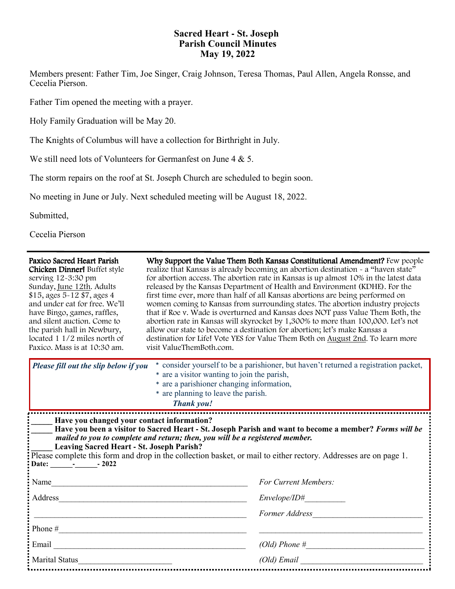# **Sacred Heart - St. Joseph Parish Council Minutes May 19, 2022**

Members present: Father Tim, Joe Singer, Craig Johnson, Teresa Thomas, Paul Allen, Angela Ronsse, and Cecelia Pierson.

Father Tim opened the meeting with a prayer.

Holy Family Graduation will be May 20.

The Knights of Columbus will have a collection for Birthright in July.

We still need lots of Volunteers for Germanfest on June 4 & 5.

The storm repairs on the roof at St. Joseph Church are scheduled to begin soon.

No meeting in June or July. Next scheduled meeting will be August 18, 2022.

Submitted,

Cecelia Pierson

| Paxico Sacred Heart Parish<br>Chicken Dinner! Buffet style<br>serving 12-3:30 pm<br>Sunday, June 12th. Adults<br>\$15, ages 5-12 \$7, ages 4<br>and under eat for free. We'll<br>have Bingo, games, raffles,<br>and silent auction. Come to<br>the parish hall in Newbury,<br>located 1 1/2 miles north of<br>Paxico. Mass is at 10:30 am.                                                                                       | Why Support the Value Them Both Kansas Constitutional Amendment? Few people<br>realize that Kansas is already becoming an abortion destination - a "haven state"<br>for abortion access. The abortion rate in Kansas is up almost 10% in the latest data<br>released by the Kansas Department of Health and Environment (KDHE). For the<br>first time ever, more than half of all Kansas abortions are being performed on<br>women coming to Kansas from surrounding states. The abortion industry projects<br>that if Roe v. Wade is overturned and Kansas does NOT pass Value Them Both, the<br>abortion rate in Kansas will skyrocket by 1,300% to more than 100,000. Let's not<br>allow our state to become a destination for abortion; let's make Kansas a<br>destination for Life! Vote YES for Value Them Both on August 2nd. To learn more<br>visit ValueThemBoth.com. |  |  |  |
|----------------------------------------------------------------------------------------------------------------------------------------------------------------------------------------------------------------------------------------------------------------------------------------------------------------------------------------------------------------------------------------------------------------------------------|--------------------------------------------------------------------------------------------------------------------------------------------------------------------------------------------------------------------------------------------------------------------------------------------------------------------------------------------------------------------------------------------------------------------------------------------------------------------------------------------------------------------------------------------------------------------------------------------------------------------------------------------------------------------------------------------------------------------------------------------------------------------------------------------------------------------------------------------------------------------------------|--|--|--|
| * consider yourself to be a parishioner, but haven't returned a registration packet,<br>Please fill out the slip below if you<br>* are a visitor wanting to join the parish,<br>* are a parishioner changing information,<br>* are planning to leave the parish.<br>Thank you!                                                                                                                                                   |                                                                                                                                                                                                                                                                                                                                                                                                                                                                                                                                                                                                                                                                                                                                                                                                                                                                                |  |  |  |
| Have you changed your contact information?<br>Have you been a visitor to Sacred Heart - St. Joseph Parish and want to become a member? Forms will be<br>mailed to you to complete and return; then, you will be a registered member.<br><b>Leaving Sacred Heart - St. Joseph Parish?</b><br>Please complete this form and drop in the collection basket, or mail to either rectory. Addresses are on page 1.<br>Date: 1.1.1.2022 |                                                                                                                                                                                                                                                                                                                                                                                                                                                                                                                                                                                                                                                                                                                                                                                                                                                                                |  |  |  |
|                                                                                                                                                                                                                                                                                                                                                                                                                                  | For Current Members:                                                                                                                                                                                                                                                                                                                                                                                                                                                                                                                                                                                                                                                                                                                                                                                                                                                           |  |  |  |
|                                                                                                                                                                                                                                                                                                                                                                                                                                  | Envelope / ID#                                                                                                                                                                                                                                                                                                                                                                                                                                                                                                                                                                                                                                                                                                                                                                                                                                                                 |  |  |  |
|                                                                                                                                                                                                                                                                                                                                                                                                                                  | Former Address                                                                                                                                                                                                                                                                                                                                                                                                                                                                                                                                                                                                                                                                                                                                                                                                                                                                 |  |  |  |
| Phone $#$                                                                                                                                                                                                                                                                                                                                                                                                                        |                                                                                                                                                                                                                                                                                                                                                                                                                                                                                                                                                                                                                                                                                                                                                                                                                                                                                |  |  |  |
|                                                                                                                                                                                                                                                                                                                                                                                                                                  | $(Old)$ Phone $\#$                                                                                                                                                                                                                                                                                                                                                                                                                                                                                                                                                                                                                                                                                                                                                                                                                                                             |  |  |  |
| Marital Status                                                                                                                                                                                                                                                                                                                                                                                                                   |                                                                                                                                                                                                                                                                                                                                                                                                                                                                                                                                                                                                                                                                                                                                                                                                                                                                                |  |  |  |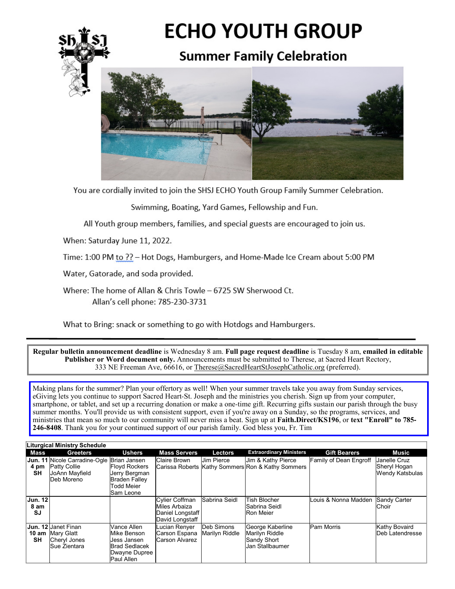

You are cordially invited to join the SHSJ ECHO Youth Group Family Summer Celebration.

Swimming, Boating, Yard Games, Fellowship and Fun.

All Youth group members, families, and special guests are encouraged to join us.

When: Saturday June 11, 2022.

Time: 1:00 PM to ?? - Hot Dogs, Hamburgers, and Home-Made Ice Cream about 5:00 PM

Water, Gatorade, and soda provided.

Where: The home of Allan & Chris Towle - 6725 SW Sherwood Ct. Allan's cell phone: 785-230-3731

What to Bring: snack or something to go with Hotdogs and Hamburgers.

Regular bulletin announcement deadline is Wednesday 8 am. Full page request deadline is Tuesday 8 am, emailed in editable Publisher or Word document only. Announcements must be submitted to Therese, at Sacred Heart Rectory, 333 NE Freeman Ave, 66616, or Therese@SacredHeartStJosephCatholic.org (preferred).

Making plans for the summer? Plan your offertory as well! When your summer travels take you away from Sunday services, eGiving lets you continue to support Sacred Heart-St. Joseph and the ministries you cherish. Sign up from your computer, smartphone, or tablet, and set up a recurring donation or make a one-time gift. Recurring gifts sustain our parish through the busy summer months. You'll provide us with consistent support, even if you're away on a Sunday, so the programs, services, and ministries that mean so much to our community will never miss a beat. Sign up at Faith.Direct/KS196, or text "Enroll" to 785-246-8408. Thank you for your continued support of our parish family. God bless you, Fr. Tim

| Liturgical Ministry Schedule |                              |                                                                                                          |                                                                                                  |                                                                               |                              |                                                                             |                                   |                                                 |
|------------------------------|------------------------------|----------------------------------------------------------------------------------------------------------|--------------------------------------------------------------------------------------------------|-------------------------------------------------------------------------------|------------------------------|-----------------------------------------------------------------------------|-----------------------------------|-------------------------------------------------|
|                              | Mass                         | <b>Greeters</b>                                                                                          | <b>Ushers</b>                                                                                    | <b>Mass Servers</b>                                                           | Lectors                      | <b>Extraordinary Ministers</b>                                              | <b>Gift Bearers</b>               | Music                                           |
|                              | 4 pm<br>SΗ                   | <b>Jun. 11</b> Nicole Carradine-Ogle Brian Jansen<br><b>Patty Collie</b><br>JoAnn Mayfield<br>Deb Moreno | <b>Floyd Rockers</b><br>Jerry Bergman<br><b>Braden Falley</b><br><b>Todd Meier</b><br>Sam Leone  | Claire Brown                                                                  | <b>Jim Pierce</b>            | Jim & Kathy Pierce<br>Carissa Roberts Kathy Sommers Ron & Kathy Sommers     | Family of Dean Engroff            | Janelle Cruz<br>Sheryl Hogan<br>Wendy Katsbulas |
|                              | <b>Jun. 12</b><br>8 am<br>SJ |                                                                                                          |                                                                                                  | <b>Cylier Coffman</b><br>Miles Arbaiza<br>Daniel Longstaff<br>David Longstaff | Sabrina Seidl                | Tish Blocher<br>Sabrina Seidl<br><b>Ron Meier</b>                           | Louis & Nonna Madden Sandy Carter | Choir                                           |
|                              | 10 am<br>SΗ                  | <b>Jun. 12 Janet Finan</b><br>Mary Glatt<br>Cheryl Jones<br>Sue Zientara                                 | Vance Allen<br>Mike Benson<br>Jess Jansen<br><b>Brad Sedlacek</b><br>Dwayne Dupree<br>Paul Allen | Lucian Renyer<br>Carson Espana<br><b>Carson Alvarez</b>                       | Deb Simons<br>Marilyn Riddle | George Kaberline<br>Marilyn Riddle<br><b>Sandy Short</b><br>Jan Stallbaumer | <b>Pam Morris</b>                 | Kathy Bovaird<br>Deb Latendresse                |